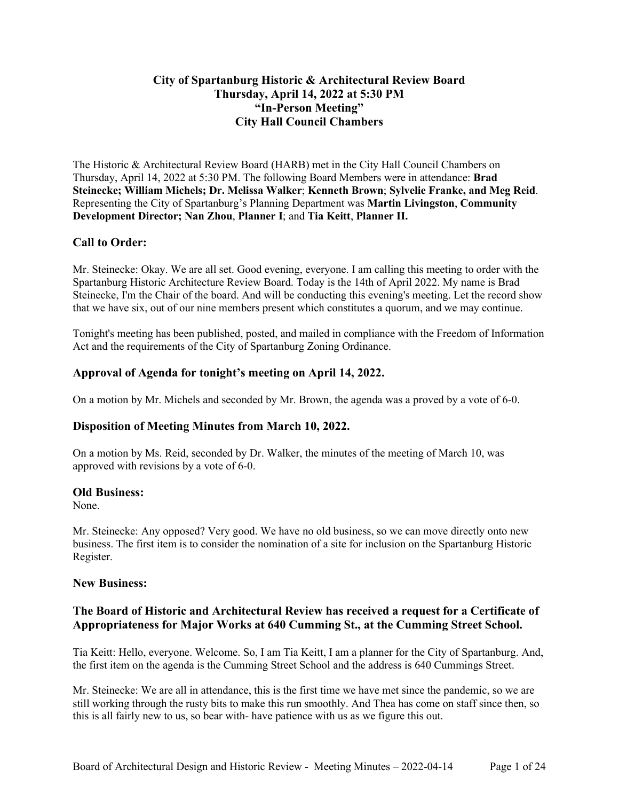# **City of Spartanburg Historic & Architectural Review Board Thursday, April 14, 2022 at 5:30 PM "In-Person Meeting" City Hall Council Chambers**

The Historic & Architectural Review Board (HARB) met in the City Hall Council Chambers on Thursday, April 14, 2022 at 5:30 PM. The following Board Members were in attendance: **Brad Steinecke; William Michels; Dr. Melissa Walker**; **Kenneth Brown**; **Sylvelie Franke, and Meg Reid**. Representing the City of Spartanburg's Planning Department was **Martin Livingston**, **Community Development Director; Nan Zhou**, **Planner I**; and **Tia Keitt**, **Planner II.**

# **Call to Order:**

Mr. Steinecke: Okay. We are all set. Good evening, everyone. I am calling this meeting to order with the Spartanburg Historic Architecture Review Board. Today is the 14th of April 2022. My name is Brad Steinecke, I'm the Chair of the board. And will be conducting this evening's meeting. Let the record show that we have six, out of our nine members present which constitutes a quorum, and we may continue.

Tonight's meeting has been published, posted, and mailed in compliance with the Freedom of Information Act and the requirements of the City of Spartanburg Zoning Ordinance.

# **Approval of Agenda for tonight's meeting on April 14, 2022.**

On a motion by Mr. Michels and seconded by Mr. Brown, the agenda was a proved by a vote of 6-0.

# **Disposition of Meeting Minutes from March 10, 2022.**

On a motion by Ms. Reid, seconded by Dr. Walker, the minutes of the meeting of March 10, was approved with revisions by a vote of 6-0.

### **Old Business:**

None.

Mr. Steinecke: Any opposed? Very good. We have no old business, so we can move directly onto new business. The first item is to consider the nomination of a site for inclusion on the Spartanburg Historic Register.

### **New Business:**

# **The Board of Historic and Architectural Review has received a request for a Certificate of Appropriateness for Major Works at 640 Cumming St., at the Cumming Street School.**

Tia Keitt: Hello, everyone. Welcome. So, I am Tia Keitt, I am a planner for the City of Spartanburg. And, the first item on the agenda is the Cumming Street School and the address is 640 Cummings Street.

Mr. Steinecke: We are all in attendance, this is the first time we have met since the pandemic, so we are still working through the rusty bits to make this run smoothly. And Thea has come on staff since then, so this is all fairly new to us, so bear with- have patience with us as we figure this out.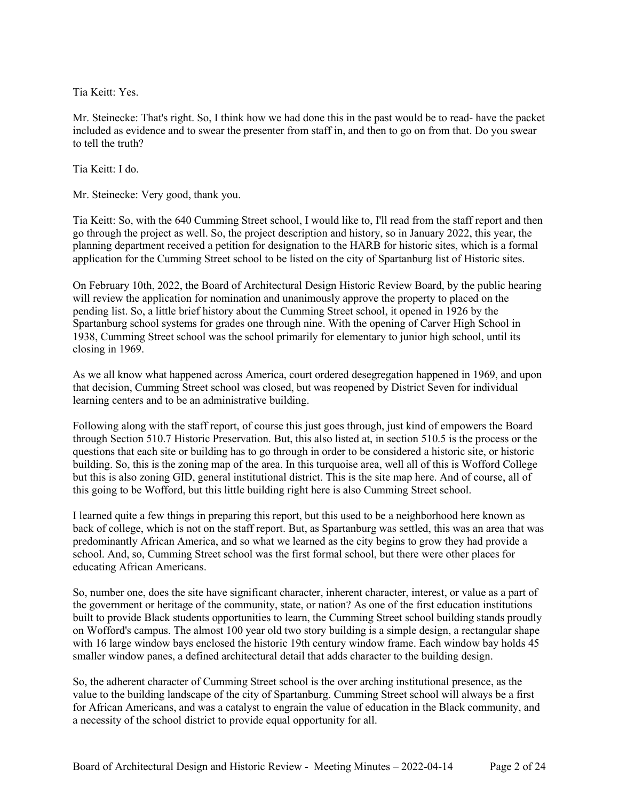Tia Keitt: Yes.

Mr. Steinecke: That's right. So, I think how we had done this in the past would be to read- have the packet included as evidence and to swear the presenter from staff in, and then to go on from that. Do you swear to tell the truth?

Tia Keitt: I do.

Mr. Steinecke: Very good, thank you.

Tia Keitt: So, with the 640 Cumming Street school, I would like to, I'll read from the staff report and then go through the project as well. So, the project description and history, so in January 2022, this year, the planning department received a petition for designation to the HARB for historic sites, which is a formal application for the Cumming Street school to be listed on the city of Spartanburg list of Historic sites.

On February 10th, 2022, the Board of Architectural Design Historic Review Board, by the public hearing will review the application for nomination and unanimously approve the property to placed on the pending list. So, a little brief history about the Cumming Street school, it opened in 1926 by the Spartanburg school systems for grades one through nine. With the opening of Carver High School in 1938, Cumming Street school was the school primarily for elementary to junior high school, until its closing in 1969.

As we all know what happened across America, court ordered desegregation happened in 1969, and upon that decision, Cumming Street school was closed, but was reopened by District Seven for individual learning centers and to be an administrative building.

Following along with the staff report, of course this just goes through, just kind of empowers the Board through Section 510.7 Historic Preservation. But, this also listed at, in section 510.5 is the process or the questions that each site or building has to go through in order to be considered a historic site, or historic building. So, this is the zoning map of the area. In this turquoise area, well all of this is Wofford College but this is also zoning GID, general institutional district. This is the site map here. And of course, all of this going to be Wofford, but this little building right here is also Cumming Street school.

I learned quite a few things in preparing this report, but this used to be a neighborhood here known as back of college, which is not on the staff report. But, as Spartanburg was settled, this was an area that was predominantly African America, and so what we learned as the city begins to grow they had provide a school. And, so, Cumming Street school was the first formal school, but there were other places for educating African Americans.

So, number one, does the site have significant character, inherent character, interest, or value as a part of the government or heritage of the community, state, or nation? As one of the first education institutions built to provide Black students opportunities to learn, the Cumming Street school building stands proudly on Wofford's campus. The almost 100 year old two story building is a simple design, a rectangular shape with 16 large window bays enclosed the historic 19th century window frame. Each window bay holds 45 smaller window panes, a defined architectural detail that adds character to the building design.

So, the adherent character of Cumming Street school is the over arching institutional presence, as the value to the building landscape of the city of Spartanburg. Cumming Street school will always be a first for African Americans, and was a catalyst to engrain the value of education in the Black community, and a necessity of the school district to provide equal opportunity for all.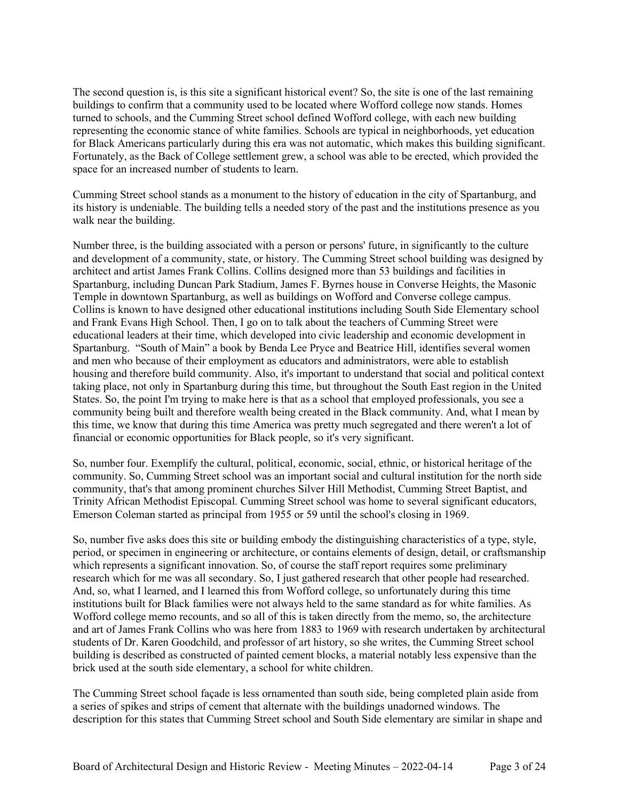The second question is, is this site a significant historical event? So, the site is one of the last remaining buildings to confirm that a community used to be located where Wofford college now stands. Homes turned to schools, and the Cumming Street school defined Wofford college, with each new building representing the economic stance of white families. Schools are typical in neighborhoods, yet education for Black Americans particularly during this era was not automatic, which makes this building significant. Fortunately, as the Back of College settlement grew, a school was able to be erected, which provided the space for an increased number of students to learn.

Cumming Street school stands as a monument to the history of education in the city of Spartanburg, and its history is undeniable. The building tells a needed story of the past and the institutions presence as you walk near the building.

Number three, is the building associated with a person or persons' future, in significantly to the culture and development of a community, state, or history. The Cumming Street school building was designed by architect and artist James Frank Collins. Collins designed more than 53 buildings and facilities in Spartanburg, including Duncan Park Stadium, James F. Byrnes house in Converse Heights, the Masonic Temple in downtown Spartanburg, as well as buildings on Wofford and Converse college campus. Collins is known to have designed other educational institutions including South Side Elementary school and Frank Evans High School. Then, I go on to talk about the teachers of Cumming Street were educational leaders at their time, which developed into civic leadership and economic development in Spartanburg. "South of Main" a book by Benda Lee Pryce and Beatrice Hill, identifies several women and men who because of their employment as educators and administrators, were able to establish housing and therefore build community. Also, it's important to understand that social and political context taking place, not only in Spartanburg during this time, but throughout the South East region in the United States. So, the point I'm trying to make here is that as a school that employed professionals, you see a community being built and therefore wealth being created in the Black community. And, what I mean by this time, we know that during this time America was pretty much segregated and there weren't a lot of financial or economic opportunities for Black people, so it's very significant.

So, number four. Exemplify the cultural, political, economic, social, ethnic, or historical heritage of the community. So, Cumming Street school was an important social and cultural institution for the north side community, that's that among prominent churches Silver Hill Methodist, Cumming Street Baptist, and Trinity African Methodist Episcopal. Cumming Street school was home to several significant educators, Emerson Coleman started as principal from 1955 or 59 until the school's closing in 1969.

So, number five asks does this site or building embody the distinguishing characteristics of a type, style, period, or specimen in engineering or architecture, or contains elements of design, detail, or craftsmanship which represents a significant innovation. So, of course the staff report requires some preliminary research which for me was all secondary. So, I just gathered research that other people had researched. And, so, what I learned, and I learned this from Wofford college, so unfortunately during this time institutions built for Black families were not always held to the same standard as for white families. As Wofford college memo recounts, and so all of this is taken directly from the memo, so, the architecture and art of James Frank Collins who was here from 1883 to 1969 with research undertaken by architectural students of Dr. Karen Goodchild, and professor of art history, so she writes, the Cumming Street school building is described as constructed of painted cement blocks, a material notably less expensive than the brick used at the south side elementary, a school for white children.

The Cumming Street school façade is less ornamented than south side, being completed plain aside from a series of spikes and strips of cement that alternate with the buildings unadorned windows. The description for this states that Cumming Street school and South Side elementary are similar in shape and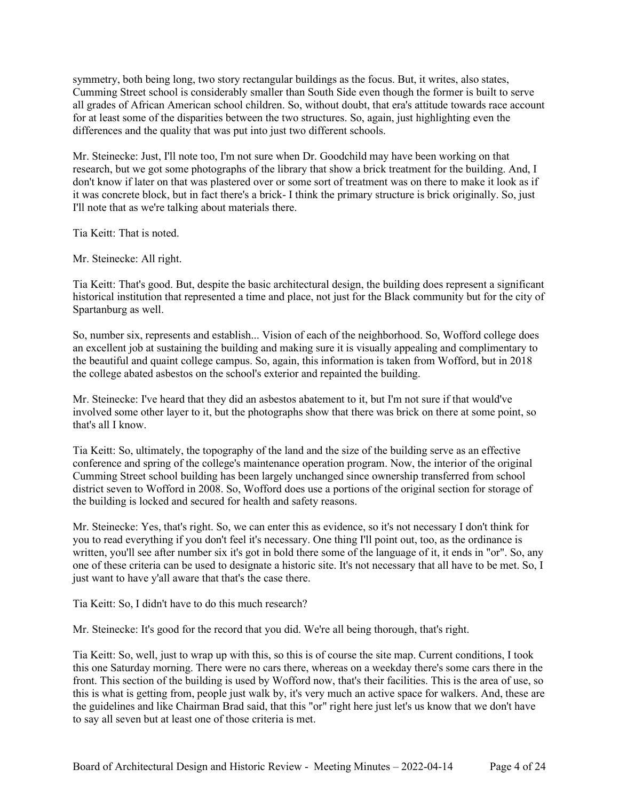symmetry, both being long, two story rectangular buildings as the focus. But, it writes, also states, Cumming Street school is considerably smaller than South Side even though the former is built to serve all grades of African American school children. So, without doubt, that era's attitude towards race account for at least some of the disparities between the two structures. So, again, just highlighting even the differences and the quality that was put into just two different schools.

Mr. Steinecke: Just, I'll note too, I'm not sure when Dr. Goodchild may have been working on that research, but we got some photographs of the library that show a brick treatment for the building. And, I don't know if later on that was plastered over or some sort of treatment was on there to make it look as if it was concrete block, but in fact there's a brick- I think the primary structure is brick originally. So, just I'll note that as we're talking about materials there.

Tia Keitt: That is noted.

Mr. Steinecke: All right.

Tia Keitt: That's good. But, despite the basic architectural design, the building does represent a significant historical institution that represented a time and place, not just for the Black community but for the city of Spartanburg as well.

So, number six, represents and establish... Vision of each of the neighborhood. So, Wofford college does an excellent job at sustaining the building and making sure it is visually appealing and complimentary to the beautiful and quaint college campus. So, again, this information is taken from Wofford, but in 2018 the college abated asbestos on the school's exterior and repainted the building.

Mr. Steinecke: I've heard that they did an asbestos abatement to it, but I'm not sure if that would've involved some other layer to it, but the photographs show that there was brick on there at some point, so that's all I know.

Tia Keitt: So, ultimately, the topography of the land and the size of the building serve as an effective conference and spring of the college's maintenance operation program. Now, the interior of the original Cumming Street school building has been largely unchanged since ownership transferred from school district seven to Wofford in 2008. So, Wofford does use a portions of the original section for storage of the building is locked and secured for health and safety reasons.

Mr. Steinecke: Yes, that's right. So, we can enter this as evidence, so it's not necessary I don't think for you to read everything if you don't feel it's necessary. One thing I'll point out, too, as the ordinance is written, you'll see after number six it's got in bold there some of the language of it, it ends in "or". So, any one of these criteria can be used to designate a historic site. It's not necessary that all have to be met. So, I just want to have y'all aware that that's the case there.

Tia Keitt: So, I didn't have to do this much research?

Mr. Steinecke: It's good for the record that you did. We're all being thorough, that's right.

Tia Keitt: So, well, just to wrap up with this, so this is of course the site map. Current conditions, I took this one Saturday morning. There were no cars there, whereas on a weekday there's some cars there in the front. This section of the building is used by Wofford now, that's their facilities. This is the area of use, so this is what is getting from, people just walk by, it's very much an active space for walkers. And, these are the guidelines and like Chairman Brad said, that this "or" right here just let's us know that we don't have to say all seven but at least one of those criteria is met.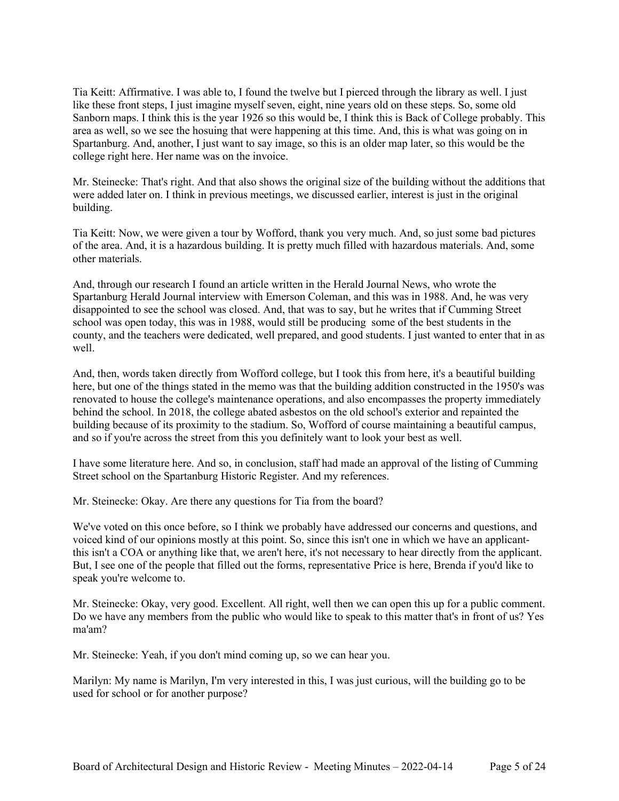Tia Keitt: Affirmative. I was able to, I found the twelve but I pierced through the library as well. I just like these front steps, I just imagine myself seven, eight, nine years old on these steps. So, some old Sanborn maps. I think this is the year 1926 so this would be, I think this is Back of College probably. This area as well, so we see the hosuing that were happening at this time. And, this is what was going on in Spartanburg. And, another, I just want to say image, so this is an older map later, so this would be the college right here. Her name was on the invoice.

Mr. Steinecke: That's right. And that also shows the original size of the building without the additions that were added later on. I think in previous meetings, we discussed earlier, interest is just in the original building.

Tia Keitt: Now, we were given a tour by Wofford, thank you very much. And, so just some bad pictures of the area. And, it is a hazardous building. It is pretty much filled with hazardous materials. And, some other materials.

And, through our research I found an article written in the Herald Journal News, who wrote the Spartanburg Herald Journal interview with Emerson Coleman, and this was in 1988. And, he was very disappointed to see the school was closed. And, that was to say, but he writes that if Cumming Street school was open today, this was in 1988, would still be producing some of the best students in the county, and the teachers were dedicated, well prepared, and good students. I just wanted to enter that in as well.

And, then, words taken directly from Wofford college, but I took this from here, it's a beautiful building here, but one of the things stated in the memo was that the building addition constructed in the 1950's was renovated to house the college's maintenance operations, and also encompasses the property immediately behind the school. In 2018, the college abated asbestos on the old school's exterior and repainted the building because of its proximity to the stadium. So, Wofford of course maintaining a beautiful campus, and so if you're across the street from this you definitely want to look your best as well.

I have some literature here. And so, in conclusion, staff had made an approval of the listing of Cumming Street school on the Spartanburg Historic Register. And my references.

Mr. Steinecke: Okay. Are there any questions for Tia from the board?

We've voted on this once before, so I think we probably have addressed our concerns and questions, and voiced kind of our opinions mostly at this point. So, since this isn't one in which we have an applicantthis isn't a COA or anything like that, we aren't here, it's not necessary to hear directly from the applicant. But, I see one of the people that filled out the forms, representative Price is here, Brenda if you'd like to speak you're welcome to.

Mr. Steinecke: Okay, very good. Excellent. All right, well then we can open this up for a public comment. Do we have any members from the public who would like to speak to this matter that's in front of us? Yes ma'am?

Mr. Steinecke: Yeah, if you don't mind coming up, so we can hear you.

Marilyn: My name is Marilyn, I'm very interested in this, I was just curious, will the building go to be used for school or for another purpose?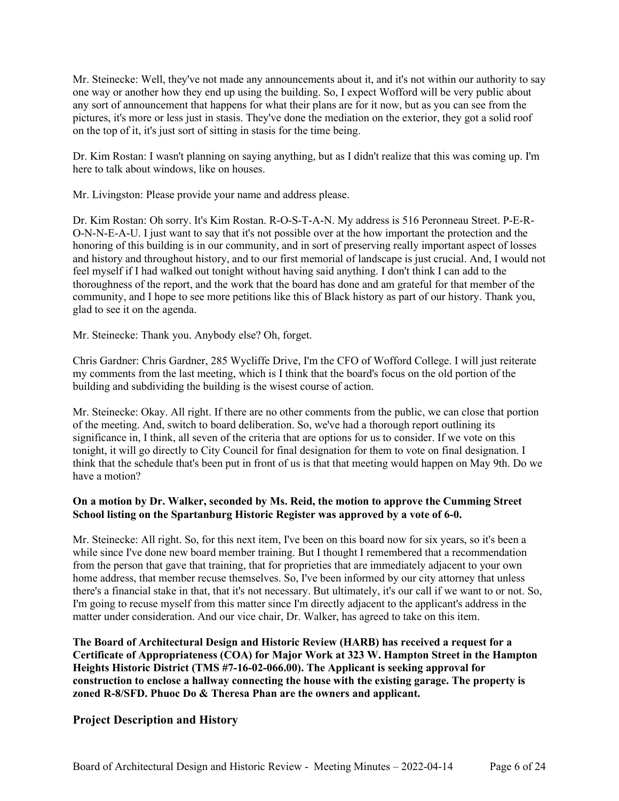Mr. Steinecke: Well, they've not made any announcements about it, and it's not within our authority to say one way or another how they end up using the building. So, I expect Wofford will be very public about any sort of announcement that happens for what their plans are for it now, but as you can see from the pictures, it's more or less just in stasis. They've done the mediation on the exterior, they got a solid roof on the top of it, it's just sort of sitting in stasis for the time being.

Dr. Kim Rostan: I wasn't planning on saying anything, but as I didn't realize that this was coming up. I'm here to talk about windows, like on houses.

Mr. Livingston: Please provide your name and address please.

Dr. Kim Rostan: Oh sorry. It's Kim Rostan. R-O-S-T-A-N. My address is 516 Peronneau Street. P-E-R-O-N-N-E-A-U. I just want to say that it's not possible over at the how important the protection and the honoring of this building is in our community, and in sort of preserving really important aspect of losses and history and throughout history, and to our first memorial of landscape is just crucial. And, I would not feel myself if I had walked out tonight without having said anything. I don't think I can add to the thoroughness of the report, and the work that the board has done and am grateful for that member of the community, and I hope to see more petitions like this of Black history as part of our history. Thank you, glad to see it on the agenda.

Mr. Steinecke: Thank you. Anybody else? Oh, forget.

Chris Gardner: Chris Gardner, 285 Wycliffe Drive, I'm the CFO of Wofford College. I will just reiterate my comments from the last meeting, which is I think that the board's focus on the old portion of the building and subdividing the building is the wisest course of action.

Mr. Steinecke: Okay. All right. If there are no other comments from the public, we can close that portion of the meeting. And, switch to board deliberation. So, we've had a thorough report outlining its significance in, I think, all seven of the criteria that are options for us to consider. If we vote on this tonight, it will go directly to City Council for final designation for them to vote on final designation. I think that the schedule that's been put in front of us is that that meeting would happen on May 9th. Do we have a motion?

# **On a motion by Dr. Walker, seconded by Ms. Reid, the motion to approve the Cumming Street School listing on the Spartanburg Historic Register was approved by a vote of 6-0.**

Mr. Steinecke: All right. So, for this next item, I've been on this board now for six years, so it's been a while since I've done new board member training. But I thought I remembered that a recommendation from the person that gave that training, that for proprieties that are immediately adjacent to your own home address, that member recuse themselves. So, I've been informed by our city attorney that unless there's a financial stake in that, that it's not necessary. But ultimately, it's our call if we want to or not. So, I'm going to recuse myself from this matter since I'm directly adjacent to the applicant's address in the matter under consideration. And our vice chair, Dr. Walker, has agreed to take on this item.

**The Board of Architectural Design and Historic Review (HARB) has received a request for a Certificate of Appropriateness (COA) for Major Work at 323 W. Hampton Street in the Hampton Heights Historic District (TMS #7-16-02-066.00). The Applicant is seeking approval for construction to enclose a hallway connecting the house with the existing garage. The property is zoned R-8/SFD. Phuoc Do & Theresa Phan are the owners and applicant.**

# **Project Description and History**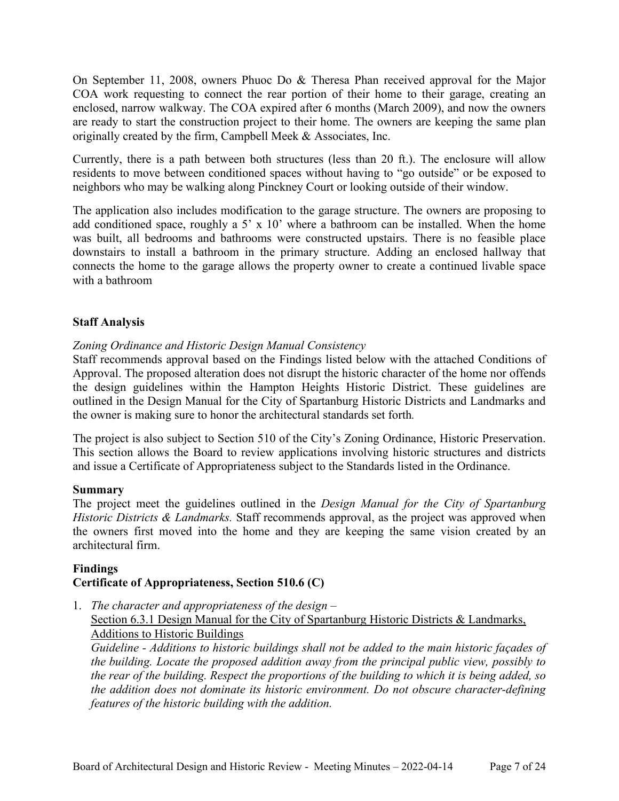On September 11, 2008, owners Phuoc Do & Theresa Phan received approval for the Major COA work requesting to connect the rear portion of their home to their garage, creating an enclosed, narrow walkway. The COA expired after 6 months (March 2009), and now the owners are ready to start the construction project to their home. The owners are keeping the same plan originally created by the firm, Campbell Meek & Associates, Inc.

Currently, there is a path between both structures (less than 20 ft.). The enclosure will allow residents to move between conditioned spaces without having to "go outside" or be exposed to neighbors who may be walking along Pinckney Court or looking outside of their window.

The application also includes modification to the garage structure. The owners are proposing to add conditioned space, roughly a 5' x 10' where a bathroom can be installed. When the home was built, all bedrooms and bathrooms were constructed upstairs. There is no feasible place downstairs to install a bathroom in the primary structure. Adding an enclosed hallway that connects the home to the garage allows the property owner to create a continued livable space with a bathroom

# **Staff Analysis**

# *Zoning Ordinance and Historic Design Manual Consistency*

Staff recommends approval based on the Findings listed below with the attached Conditions of Approval. The proposed alteration does not disrupt the historic character of the home nor offends the design guidelines within the Hampton Heights Historic District. These guidelines are outlined in the Design Manual for the City of Spartanburg Historic Districts and Landmarks and the owner is making sure to honor the architectural standards set forth*.* 

The project is also subject to Section 510 of the City's Zoning Ordinance, Historic Preservation. This section allows the Board to review applications involving historic structures and districts and issue a Certificate of Appropriateness subject to the Standards listed in the Ordinance.

# **Summary**

The project meet the guidelines outlined in the *Design Manual for the City of Spartanburg Historic Districts & Landmarks.* Staff recommends approval, as the project was approved when the owners first moved into the home and they are keeping the same vision created by an architectural firm.

# **Findings Certificate of Appropriateness, Section 510.6 (C)**

1. *The character and appropriateness of the design –* Section 6.3.1 Design Manual for the City of Spartanburg Historic Districts & Landmarks, Additions to Historic Buildings

*Guideline - Additions to historic buildings shall not be added to the main historic façades of the building. Locate the proposed addition away from the principal public view, possibly to the rear of the building. Respect the proportions of the building to which it is being added, so the addition does not dominate its historic environment. Do not obscure character-defining features of the historic building with the addition.*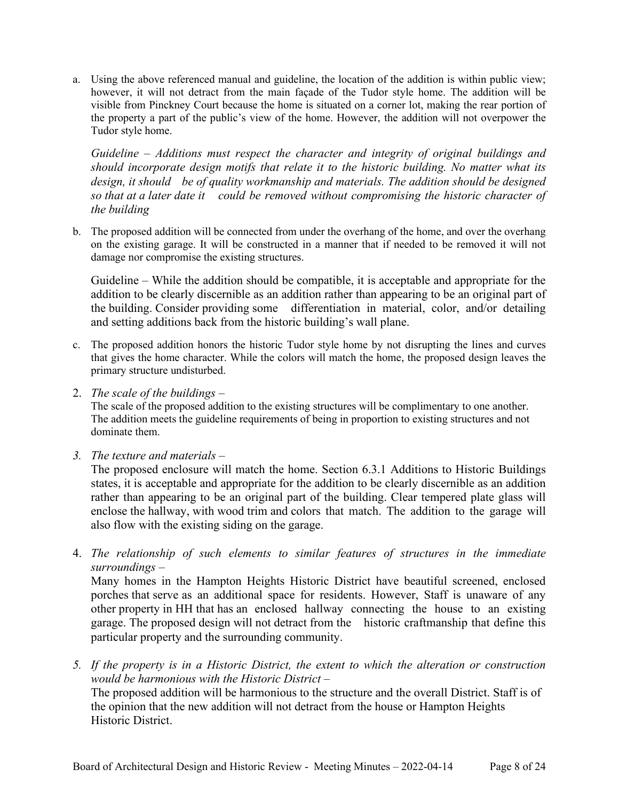a. Using the above referenced manual and guideline, the location of the addition is within public view; however, it will not detract from the main façade of the Tudor style home. The addition will be visible from Pinckney Court because the home is situated on a corner lot, making the rear portion of the property a part of the public's view of the home. However, the addition will not overpower the Tudor style home.

*Guideline – Additions must respect the character and integrity of original buildings and should incorporate design motifs that relate it to the historic building. No matter what its design, it should be of quality workmanship and materials. The addition should be designed so that at a later date it could be removed without compromising the historic character of the building*

b. The proposed addition will be connected from under the overhang of the home, and over the overhang on the existing garage. It will be constructed in a manner that if needed to be removed it will not damage nor compromise the existing structures.

Guideline – While the addition should be compatible, it is acceptable and appropriate for the addition to be clearly discernible as an addition rather than appearing to be an original part of the building. Consider providing some differentiation in material, color, and/or detailing and setting additions back from the historic building's wall plane.

- c. The proposed addition honors the historic Tudor style home by not disrupting the lines and curves that gives the home character. While the colors will match the home, the proposed design leaves the primary structure undisturbed.
- 2. *The scale of the buildings –*

The scale of the proposed addition to the existing structures will be complimentary to one another. The addition meets the guideline requirements of being in proportion to existing structures and not dominate them.

*3. The texture and materials –*

The proposed enclosure will match the home. Section 6.3.1 Additions to Historic Buildings states, it is acceptable and appropriate for the addition to be clearly discernible as an addition rather than appearing to be an original part of the building. Clear tempered plate glass will enclose the hallway, with wood trim and colors that match. The addition to the garage will also flow with the existing siding on the garage.

4. *The relationship of such elements to similar features of structures in the immediate surroundings –*

Many homes in the Hampton Heights Historic District have beautiful screened, enclosed porches that serve as an additional space for residents. However, Staff is unaware of any other property in HH that has an enclosed hallway connecting the house to an existing garage. The proposed design will not detract from the historic craftmanship that define this particular property and the surrounding community.

*5. If the property is in a Historic District, the extent to which the alteration or construction would be harmonious with the Historic District –* The proposed addition will be harmonious to the structure and the overall District. Staff is of the opinion that the new addition will not detract from the house or Hampton Heights Historic District.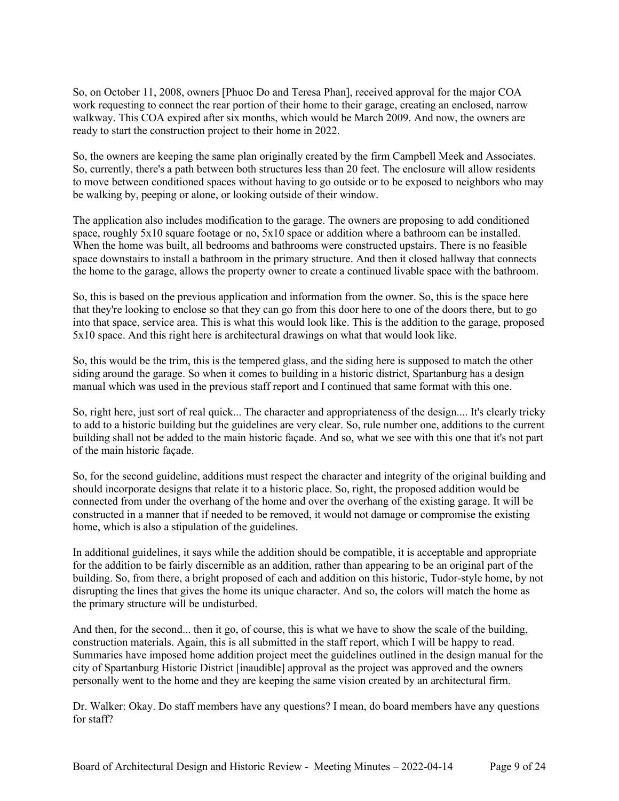So, on October 11, 2008, owners [Phuoc Do and Teresa Phan], received approval for the major COA work requesting to connect the rear portion of their home to their garage, creating an enclosed, narrow walkway. This COA expired after six months, which would be March 2009. And now, the owners are ready to start the construction project to their home in 2022.

So, the owners are keeping the same plan originally created by the firm Campbell Meek and Associates. So, currently, there's a path between both structures less than 20 feet. The enclosure will allow residents to move between conditioned spaces without having to go outside or to be exposed to neighbors who may be walking by, peeping or alone, or looking outside of their window.

The application also includes modification to the garage. The owners are proposing to add conditioned space, roughly 5x10 square footage or no, 5x10 space or addition where a bathroom can be installed. When the home was built, all bedrooms and bathrooms were constructed upstairs. There is no feasible space downstairs to install a bathroom in the primary structure. And then it closed hallway that connects the home to the garage, allows the property owner to create a continued livable space with the bathroom.

So, this is based on the previous application and information from the owner. So, this is the space here that they're looking to enclose so that they can go from this door here to one of the doors there, but to go into that space, service area. This is what this would look like. This is the addition to the garage, proposed 5x10 space. And this right here is architectural drawings on what that would look like.

So, this would be the trim, this is the tempered glass, and the siding here is supposed to match the other siding around the garage. So when it comes to building in a historic district, Spartanburg has a design manual which was used in the previous staff report and I continued that same format with this one.

So, right here, just sort of real quick... The character and appropriateness of the design.... It's clearly tricky to add to a historic building but the guidelines are very clear. So, rule number one, additions to the current building shall not be added to the main historic façade. And so, what we see with this one that it's not part of the main historic façade.

So, for the second guideline, additions must respect the character and integrity of the original building and should incorporate designs that relate it to a historic place. So, right, the proposed addition would be connected from under the overhang of the home and over the overhang of the existing garage. It will be constructed in a manner that if needed to be removed, it would not damage or compromise the existing home, which is also a stipulation of the guidelines.

In additional guidelines, it says while the addition should be compatible, it is acceptable and appropriate for the addition to be fairly discernible as an addition, rather than appearing to be an original part of the building. So, from there, a bright proposed of each and addition on this historic, Tudor-style home, by not disrupting the lines that gives the home its unique character. And so, the colors will match the home as the primary structure will be undisturbed.

And then, for the second... then it go, of course, this is what we have to show the scale of the building, construction materials. Again, this is all submitted in the staff report, which I will be happy to read. Summaries have imposed home addition project meet the guidelines outlined in the design manual for the city of Spartanburg Historic District [inaudible] approval as the project was approved and the owners personally went to the home and they are keeping the same vision created by an architectural firm.

Dr. Walker: Okay. Do staff members have any questions? I mean, do board members have any questions for staff?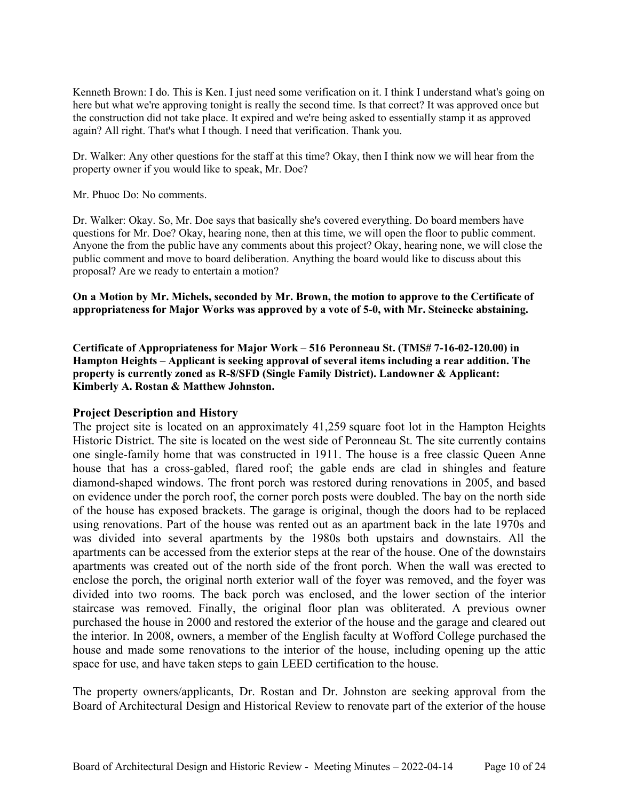Kenneth Brown: I do. This is Ken. I just need some verification on it. I think I understand what's going on here but what we're approving tonight is really the second time. Is that correct? It was approved once but the construction did not take place. It expired and we're being asked to essentially stamp it as approved again? All right. That's what I though. I need that verification. Thank you.

Dr. Walker: Any other questions for the staff at this time? Okay, then I think now we will hear from the property owner if you would like to speak, Mr. Doe?

Mr. Phuoc Do: No comments.

Dr. Walker: Okay. So, Mr. Doe says that basically she's covered everything. Do board members have questions for Mr. Doe? Okay, hearing none, then at this time, we will open the floor to public comment. Anyone the from the public have any comments about this project? Okay, hearing none, we will close the public comment and move to board deliberation. Anything the board would like to discuss about this proposal? Are we ready to entertain a motion?

**On a Motion by Mr. Michels, seconded by Mr. Brown, the motion to approve to the Certificate of appropriateness for Major Works was approved by a vote of 5-0, with Mr. Steinecke abstaining.**

**Certificate of Appropriateness for Major Work – 516 Peronneau St. (TMS# 7-16-02-120.00) in Hampton Heights – Applicant is seeking approval of several items including a rear addition. The property is currently zoned as R-8/SFD (Single Family District). Landowner & Applicant: Kimberly A. Rostan & Matthew Johnston.**

### **Project Description and History**

The project site is located on an approximately 41,259 square foot lot in the Hampton Heights Historic District. The site is located on the west side of Peronneau St. The site currently contains one single-family home that was constructed in 1911. The house is a free classic Queen Anne house that has a cross-gabled, flared roof; the gable ends are clad in shingles and feature diamond-shaped windows. The front porch was restored during renovations in 2005, and based on evidence under the porch roof, the corner porch posts were doubled. The bay on the north side of the house has exposed brackets. The garage is original, though the doors had to be replaced using renovations. Part of the house was rented out as an apartment back in the late 1970s and was divided into several apartments by the 1980s both upstairs and downstairs. All the apartments can be accessed from the exterior steps at the rear of the house. One of the downstairs apartments was created out of the north side of the front porch. When the wall was erected to enclose the porch, the original north exterior wall of the foyer was removed, and the foyer was divided into two rooms. The back porch was enclosed, and the lower section of the interior staircase was removed. Finally, the original floor plan was obliterated. A previous owner purchased the house in 2000 and restored the exterior of the house and the garage and cleared out the interior. In 2008, owners, a member of the English faculty at Wofford College purchased the house and made some renovations to the interior of the house, including opening up the attic space for use, and have taken steps to gain LEED certification to the house.

The property owners/applicants, Dr. Rostan and Dr. Johnston are seeking approval from the Board of Architectural Design and Historical Review to renovate part of the exterior of the house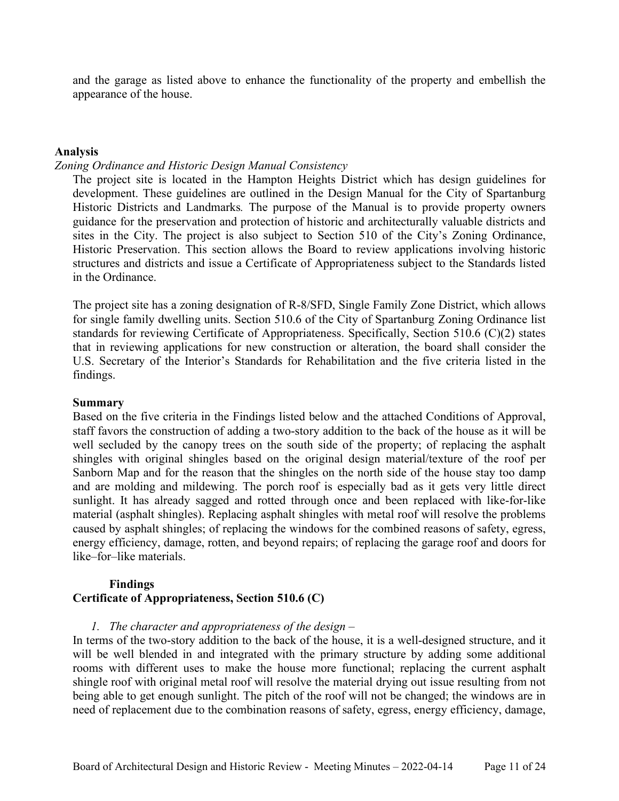and the garage as listed above to enhance the functionality of the property and embellish the appearance of the house.

#### **Analysis**

# *Zoning Ordinance and Historic Design Manual Consistency*

The project site is located in the Hampton Heights District which has design guidelines for development. These guidelines are outlined in the Design Manual for the City of Spartanburg Historic Districts and Landmarks*.* The purpose of the Manual is to provide property owners guidance for the preservation and protection of historic and architecturally valuable districts and sites in the City. The project is also subject to Section 510 of the City's Zoning Ordinance, Historic Preservation. This section allows the Board to review applications involving historic structures and districts and issue a Certificate of Appropriateness subject to the Standards listed in the Ordinance.

The project site has a zoning designation of R-8/SFD, Single Family Zone District, which allows for single family dwelling units. Section 510.6 of the City of Spartanburg Zoning Ordinance list standards for reviewing Certificate of Appropriateness. Specifically, Section 510.6 (C)(2) states that in reviewing applications for new construction or alteration, the board shall consider the U.S. Secretary of the Interior's Standards for Rehabilitation and the five criteria listed in the findings.

#### **Summary**

Based on the five criteria in the Findings listed below and the attached Conditions of Approval, staff favors the construction of adding a two-story addition to the back of the house as it will be well secluded by the canopy trees on the south side of the property; of replacing the asphalt shingles with original shingles based on the original design material/texture of the roof per Sanborn Map and for the reason that the shingles on the north side of the house stay too damp and are molding and mildewing. The porch roof is especially bad as it gets very little direct sunlight. It has already sagged and rotted through once and been replaced with like-for-like material (asphalt shingles). Replacing asphalt shingles with metal roof will resolve the problems caused by asphalt shingles; of replacing the windows for the combined reasons of safety, egress, energy efficiency, damage, rotten, and beyond repairs; of replacing the garage roof and doors for like–for–like materials.

# **Findings Certificate of Appropriateness, Section 510.6 (C)**

### *1. The character and appropriateness of the design –*

In terms of the two-story addition to the back of the house, it is a well-designed structure, and it will be well blended in and integrated with the primary structure by adding some additional rooms with different uses to make the house more functional; replacing the current asphalt shingle roof with original metal roof will resolve the material drying out issue resulting from not being able to get enough sunlight. The pitch of the roof will not be changed; the windows are in need of replacement due to the combination reasons of safety, egress, energy efficiency, damage,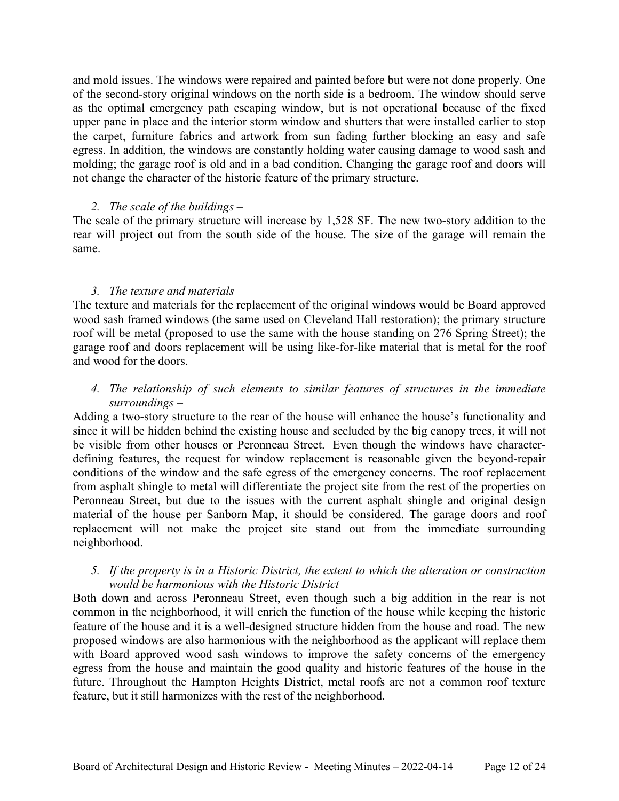and mold issues. The windows were repaired and painted before but were not done properly. One of the second-story original windows on the north side is a bedroom. The window should serve as the optimal emergency path escaping window, but is not operational because of the fixed upper pane in place and the interior storm window and shutters that were installed earlier to stop the carpet, furniture fabrics and artwork from sun fading further blocking an easy and safe egress. In addition, the windows are constantly holding water causing damage to wood sash and molding; the garage roof is old and in a bad condition. Changing the garage roof and doors will not change the character of the historic feature of the primary structure.

# *2. The scale of the buildings –*

The scale of the primary structure will increase by 1,528 SF. The new two-story addition to the rear will project out from the south side of the house. The size of the garage will remain the same.

# *3. The texture and materials –*

The texture and materials for the replacement of the original windows would be Board approved wood sash framed windows (the same used on Cleveland Hall restoration); the primary structure roof will be metal (proposed to use the same with the house standing on 276 Spring Street); the garage roof and doors replacement will be using like-for-like material that is metal for the roof and wood for the doors.

# *4. The relationship of such elements to similar features of structures in the immediate surroundings –*

Adding a two-story structure to the rear of the house will enhance the house's functionality and since it will be hidden behind the existing house and secluded by the big canopy trees, it will not be visible from other houses or Peronneau Street. Even though the windows have characterdefining features, the request for window replacement is reasonable given the beyond-repair conditions of the window and the safe egress of the emergency concerns. The roof replacement from asphalt shingle to metal will differentiate the project site from the rest of the properties on Peronneau Street, but due to the issues with the current asphalt shingle and original design material of the house per Sanborn Map, it should be considered. The garage doors and roof replacement will not make the project site stand out from the immediate surrounding neighborhood.

# *5. If the property is in a Historic District, the extent to which the alteration or construction would be harmonious with the Historic District –*

Both down and across Peronneau Street, even though such a big addition in the rear is not common in the neighborhood, it will enrich the function of the house while keeping the historic feature of the house and it is a well-designed structure hidden from the house and road. The new proposed windows are also harmonious with the neighborhood as the applicant will replace them with Board approved wood sash windows to improve the safety concerns of the emergency egress from the house and maintain the good quality and historic features of the house in the future. Throughout the Hampton Heights District, metal roofs are not a common roof texture feature, but it still harmonizes with the rest of the neighborhood.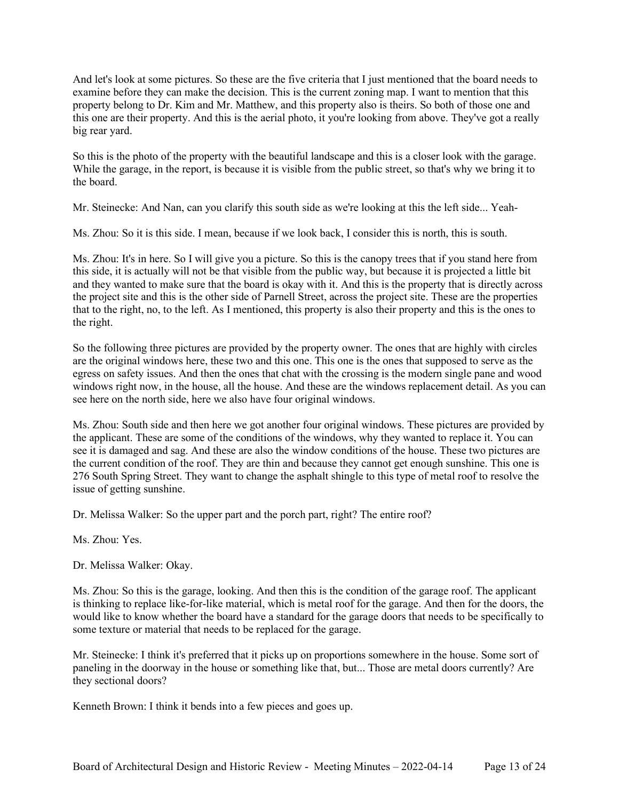And let's look at some pictures. So these are the five criteria that I just mentioned that the board needs to examine before they can make the decision. This is the current zoning map. I want to mention that this property belong to Dr. Kim and Mr. Matthew, and this property also is theirs. So both of those one and this one are their property. And this is the aerial photo, it you're looking from above. They've got a really big rear yard.

So this is the photo of the property with the beautiful landscape and this is a closer look with the garage. While the garage, in the report, is because it is visible from the public street, so that's why we bring it to the board.

Mr. Steinecke: And Nan, can you clarify this south side as we're looking at this the left side... Yeah-

Ms. Zhou: So it is this side. I mean, because if we look back, I consider this is north, this is south.

Ms. Zhou: It's in here. So I will give you a picture. So this is the canopy trees that if you stand here from this side, it is actually will not be that visible from the public way, but because it is projected a little bit and they wanted to make sure that the board is okay with it. And this is the property that is directly across the project site and this is the other side of Parnell Street, across the project site. These are the properties that to the right, no, to the left. As I mentioned, this property is also their property and this is the ones to the right.

So the following three pictures are provided by the property owner. The ones that are highly with circles are the original windows here, these two and this one. This one is the ones that supposed to serve as the egress on safety issues. And then the ones that chat with the crossing is the modern single pane and wood windows right now, in the house, all the house. And these are the windows replacement detail. As you can see here on the north side, here we also have four original windows.

Ms. Zhou: South side and then here we got another four original windows. These pictures are provided by the applicant. These are some of the conditions of the windows, why they wanted to replace it. You can see it is damaged and sag. And these are also the window conditions of the house. These two pictures are the current condition of the roof. They are thin and because they cannot get enough sunshine. This one is 276 South Spring Street. They want to change the asphalt shingle to this type of metal roof to resolve the issue of getting sunshine.

Dr. Melissa Walker: So the upper part and the porch part, right? The entire roof?

Ms. Zhou: Yes.

Dr. Melissa Walker: Okay.

Ms. Zhou: So this is the garage, looking. And then this is the condition of the garage roof. The applicant is thinking to replace like-for-like material, which is metal roof for the garage. And then for the doors, the would like to know whether the board have a standard for the garage doors that needs to be specifically to some texture or material that needs to be replaced for the garage.

Mr. Steinecke: I think it's preferred that it picks up on proportions somewhere in the house. Some sort of paneling in the doorway in the house or something like that, but... Those are metal doors currently? Are they sectional doors?

Kenneth Brown: I think it bends into a few pieces and goes up.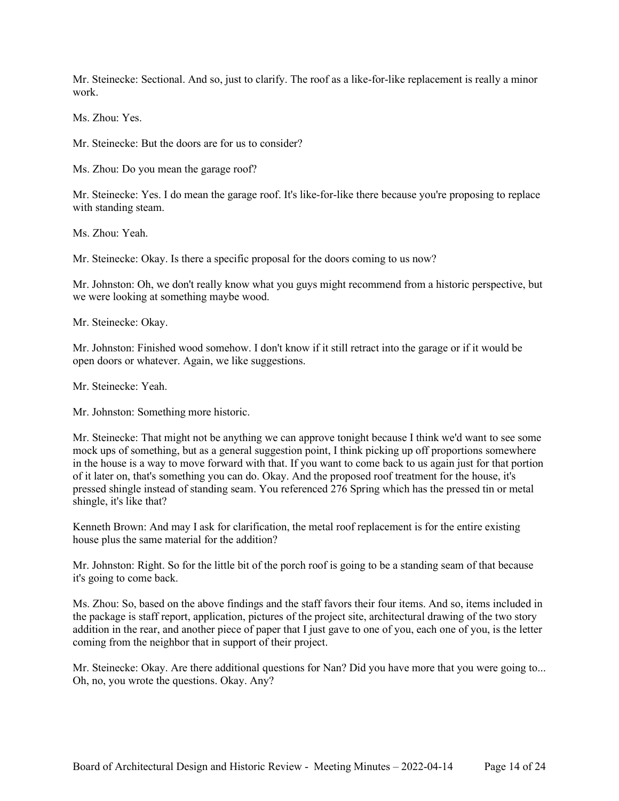Mr. Steinecke: Sectional. And so, just to clarify. The roof as a like-for-like replacement is really a minor work.

Ms. Zhou: Yes.

Mr. Steinecke: But the doors are for us to consider?

Ms. Zhou: Do you mean the garage roof?

Mr. Steinecke: Yes. I do mean the garage roof. It's like-for-like there because you're proposing to replace with standing steam.

Ms. Zhou: Yeah.

Mr. Steinecke: Okay. Is there a specific proposal for the doors coming to us now?

Mr. Johnston: Oh, we don't really know what you guys might recommend from a historic perspective, but we were looking at something maybe wood.

Mr. Steinecke: Okay.

Mr. Johnston: Finished wood somehow. I don't know if it still retract into the garage or if it would be open doors or whatever. Again, we like suggestions.

Mr. Steinecke: Yeah.

Mr. Johnston: Something more historic.

Mr. Steinecke: That might not be anything we can approve tonight because I think we'd want to see some mock ups of something, but as a general suggestion point, I think picking up off proportions somewhere in the house is a way to move forward with that. If you want to come back to us again just for that portion of it later on, that's something you can do. Okay. And the proposed roof treatment for the house, it's pressed shingle instead of standing seam. You referenced 276 Spring which has the pressed tin or metal shingle, it's like that?

Kenneth Brown: And may I ask for clarification, the metal roof replacement is for the entire existing house plus the same material for the addition?

Mr. Johnston: Right. So for the little bit of the porch roof is going to be a standing seam of that because it's going to come back.

Ms. Zhou: So, based on the above findings and the staff favors their four items. And so, items included in the package is staff report, application, pictures of the project site, architectural drawing of the two story addition in the rear, and another piece of paper that I just gave to one of you, each one of you, is the letter coming from the neighbor that in support of their project.

Mr. Steinecke: Okay. Are there additional questions for Nan? Did you have more that you were going to... Oh, no, you wrote the questions. Okay. Any?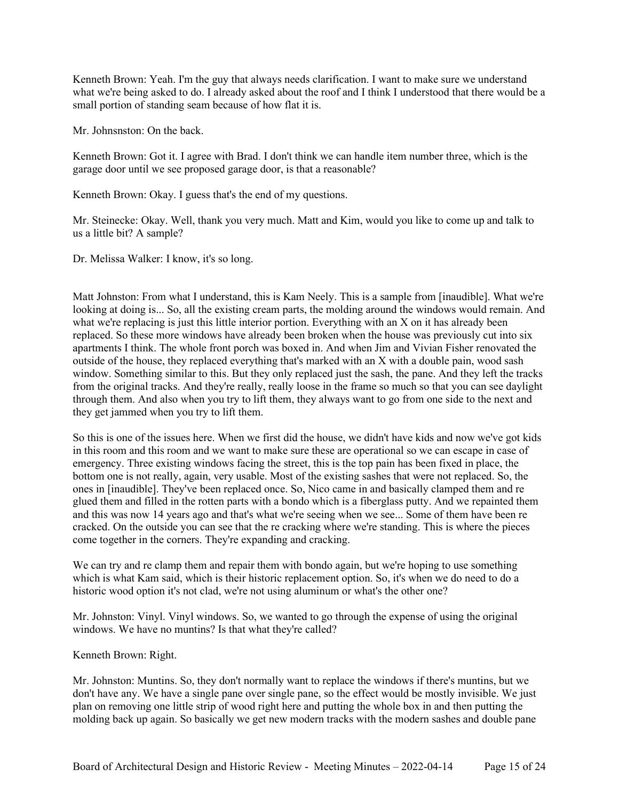Kenneth Brown: Yeah. I'm the guy that always needs clarification. I want to make sure we understand what we're being asked to do. I already asked about the roof and I think I understood that there would be a small portion of standing seam because of how flat it is.

Mr. Johnsnston: On the back.

Kenneth Brown: Got it. I agree with Brad. I don't think we can handle item number three, which is the garage door until we see proposed garage door, is that a reasonable?

Kenneth Brown: Okay. I guess that's the end of my questions.

Mr. Steinecke: Okay. Well, thank you very much. Matt and Kim, would you like to come up and talk to us a little bit? A sample?

Dr. Melissa Walker: I know, it's so long.

Matt Johnston: From what I understand, this is Kam Neely. This is a sample from [inaudible]. What we're looking at doing is... So, all the existing cream parts, the molding around the windows would remain. And what we're replacing is just this little interior portion. Everything with an X on it has already been replaced. So these more windows have already been broken when the house was previously cut into six apartments I think. The whole front porch was boxed in. And when Jim and Vivian Fisher renovated the outside of the house, they replaced everything that's marked with an X with a double pain, wood sash window. Something similar to this. But they only replaced just the sash, the pane. And they left the tracks from the original tracks. And they're really, really loose in the frame so much so that you can see daylight through them. And also when you try to lift them, they always want to go from one side to the next and they get jammed when you try to lift them.

So this is one of the issues here. When we first did the house, we didn't have kids and now we've got kids in this room and this room and we want to make sure these are operational so we can escape in case of emergency. Three existing windows facing the street, this is the top pain has been fixed in place, the bottom one is not really, again, very usable. Most of the existing sashes that were not replaced. So, the ones in [inaudible]. They've been replaced once. So, Nico came in and basically clamped them and re glued them and filled in the rotten parts with a bondo which is a fiberglass putty. And we repainted them and this was now 14 years ago and that's what we're seeing when we see... Some of them have been re cracked. On the outside you can see that the re cracking where we're standing. This is where the pieces come together in the corners. They're expanding and cracking.

We can try and re clamp them and repair them with bondo again, but we're hoping to use something which is what Kam said, which is their historic replacement option. So, it's when we do need to do a historic wood option it's not clad, we're not using aluminum or what's the other one?

Mr. Johnston: Vinyl. Vinyl windows. So, we wanted to go through the expense of using the original windows. We have no muntins? Is that what they're called?

Kenneth Brown: Right.

Mr. Johnston: Muntins. So, they don't normally want to replace the windows if there's muntins, but we don't have any. We have a single pane over single pane, so the effect would be mostly invisible. We just plan on removing one little strip of wood right here and putting the whole box in and then putting the molding back up again. So basically we get new modern tracks with the modern sashes and double pane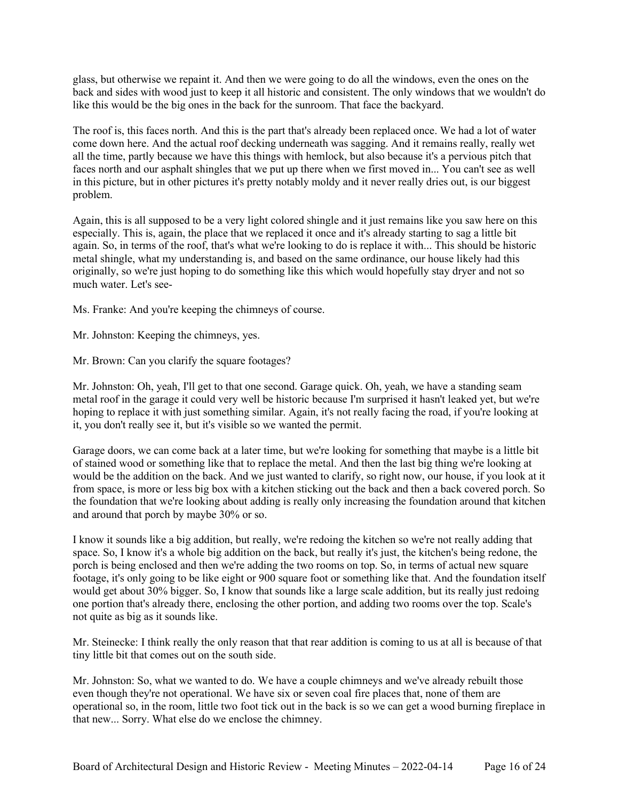glass, but otherwise we repaint it. And then we were going to do all the windows, even the ones on the back and sides with wood just to keep it all historic and consistent. The only windows that we wouldn't do like this would be the big ones in the back for the sunroom. That face the backyard.

The roof is, this faces north. And this is the part that's already been replaced once. We had a lot of water come down here. And the actual roof decking underneath was sagging. And it remains really, really wet all the time, partly because we have this things with hemlock, but also because it's a pervious pitch that faces north and our asphalt shingles that we put up there when we first moved in... You can't see as well in this picture, but in other pictures it's pretty notably moldy and it never really dries out, is our biggest problem.

Again, this is all supposed to be a very light colored shingle and it just remains like you saw here on this especially. This is, again, the place that we replaced it once and it's already starting to sag a little bit again. So, in terms of the roof, that's what we're looking to do is replace it with... This should be historic metal shingle, what my understanding is, and based on the same ordinance, our house likely had this originally, so we're just hoping to do something like this which would hopefully stay dryer and not so much water. Let's see-

Ms. Franke: And you're keeping the chimneys of course.

Mr. Johnston: Keeping the chimneys, yes.

Mr. Brown: Can you clarify the square footages?

Mr. Johnston: Oh, yeah, I'll get to that one second. Garage quick. Oh, yeah, we have a standing seam metal roof in the garage it could very well be historic because I'm surprised it hasn't leaked yet, but we're hoping to replace it with just something similar. Again, it's not really facing the road, if you're looking at it, you don't really see it, but it's visible so we wanted the permit.

Garage doors, we can come back at a later time, but we're looking for something that maybe is a little bit of stained wood or something like that to replace the metal. And then the last big thing we're looking at would be the addition on the back. And we just wanted to clarify, so right now, our house, if you look at it from space, is more or less big box with a kitchen sticking out the back and then a back covered porch. So the foundation that we're looking about adding is really only increasing the foundation around that kitchen and around that porch by maybe 30% or so.

I know it sounds like a big addition, but really, we're redoing the kitchen so we're not really adding that space. So, I know it's a whole big addition on the back, but really it's just, the kitchen's being redone, the porch is being enclosed and then we're adding the two rooms on top. So, in terms of actual new square footage, it's only going to be like eight or 900 square foot or something like that. And the foundation itself would get about 30% bigger. So, I know that sounds like a large scale addition, but its really just redoing one portion that's already there, enclosing the other portion, and adding two rooms over the top. Scale's not quite as big as it sounds like.

Mr. Steinecke: I think really the only reason that that rear addition is coming to us at all is because of that tiny little bit that comes out on the south side.

Mr. Johnston: So, what we wanted to do. We have a couple chimneys and we've already rebuilt those even though they're not operational. We have six or seven coal fire places that, none of them are operational so, in the room, little two foot tick out in the back is so we can get a wood burning fireplace in that new... Sorry. What else do we enclose the chimney.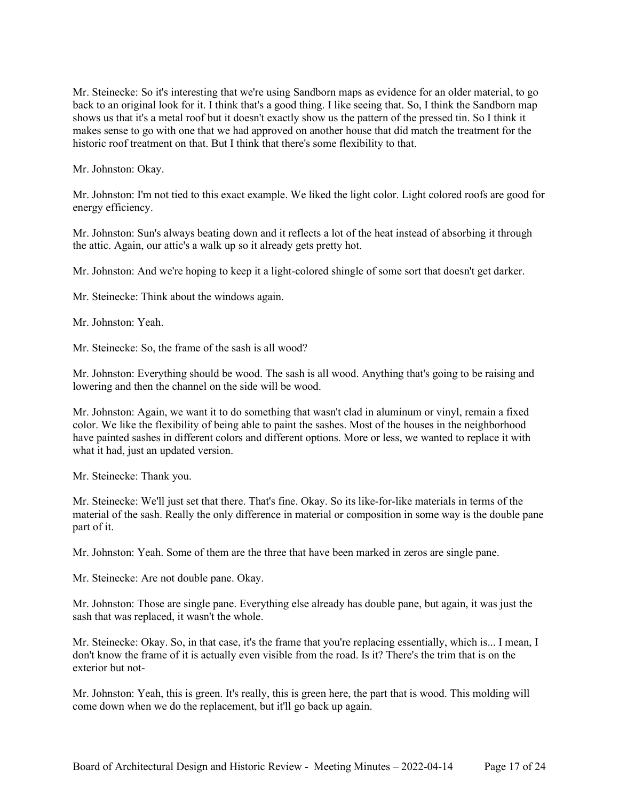Mr. Steinecke: So it's interesting that we're using Sandborn maps as evidence for an older material, to go back to an original look for it. I think that's a good thing. I like seeing that. So, I think the Sandborn map shows us that it's a metal roof but it doesn't exactly show us the pattern of the pressed tin. So I think it makes sense to go with one that we had approved on another house that did match the treatment for the historic roof treatment on that. But I think that there's some flexibility to that.

Mr. Johnston: Okay.

Mr. Johnston: I'm not tied to this exact example. We liked the light color. Light colored roofs are good for energy efficiency.

Mr. Johnston: Sun's always beating down and it reflects a lot of the heat instead of absorbing it through the attic. Again, our attic's a walk up so it already gets pretty hot.

Mr. Johnston: And we're hoping to keep it a light-colored shingle of some sort that doesn't get darker.

Mr. Steinecke: Think about the windows again.

Mr. Johnston: Yeah.

Mr. Steinecke: So, the frame of the sash is all wood?

Mr. Johnston: Everything should be wood. The sash is all wood. Anything that's going to be raising and lowering and then the channel on the side will be wood.

Mr. Johnston: Again, we want it to do something that wasn't clad in aluminum or vinyl, remain a fixed color. We like the flexibility of being able to paint the sashes. Most of the houses in the neighborhood have painted sashes in different colors and different options. More or less, we wanted to replace it with what it had, just an updated version.

Mr. Steinecke: Thank you.

Mr. Steinecke: We'll just set that there. That's fine. Okay. So its like-for-like materials in terms of the material of the sash. Really the only difference in material or composition in some way is the double pane part of it.

Mr. Johnston: Yeah. Some of them are the three that have been marked in zeros are single pane.

Mr. Steinecke: Are not double pane. Okay.

Mr. Johnston: Those are single pane. Everything else already has double pane, but again, it was just the sash that was replaced, it wasn't the whole.

Mr. Steinecke: Okay. So, in that case, it's the frame that you're replacing essentially, which is... I mean, I don't know the frame of it is actually even visible from the road. Is it? There's the trim that is on the exterior but not-

Mr. Johnston: Yeah, this is green. It's really, this is green here, the part that is wood. This molding will come down when we do the replacement, but it'll go back up again.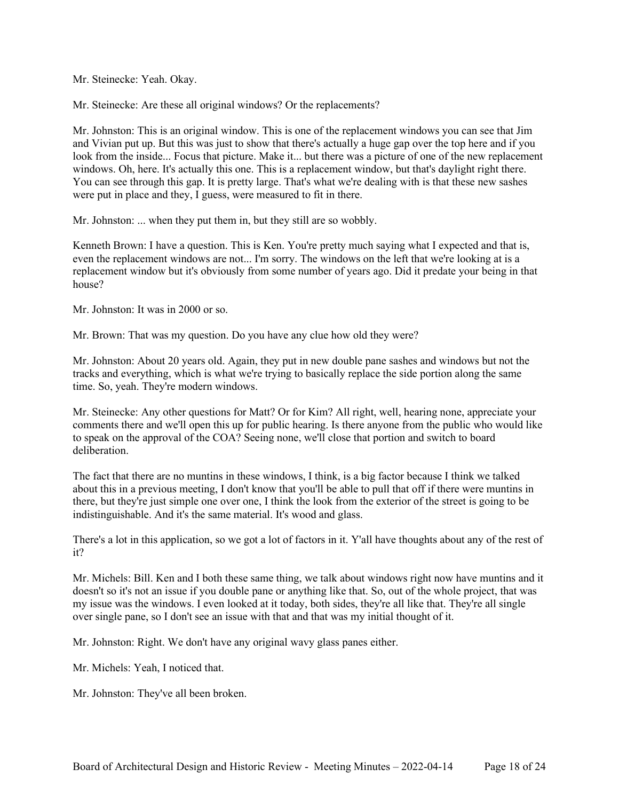Mr. Steinecke: Yeah. Okay.

Mr. Steinecke: Are these all original windows? Or the replacements?

Mr. Johnston: This is an original window. This is one of the replacement windows you can see that Jim and Vivian put up. But this was just to show that there's actually a huge gap over the top here and if you look from the inside... Focus that picture. Make it... but there was a picture of one of the new replacement windows. Oh, here. It's actually this one. This is a replacement window, but that's daylight right there. You can see through this gap. It is pretty large. That's what we're dealing with is that these new sashes were put in place and they, I guess, were measured to fit in there.

Mr. Johnston: ... when they put them in, but they still are so wobbly.

Kenneth Brown: I have a question. This is Ken. You're pretty much saying what I expected and that is, even the replacement windows are not... I'm sorry. The windows on the left that we're looking at is a replacement window but it's obviously from some number of years ago. Did it predate your being in that house?

Mr. Johnston: It was in 2000 or so.

Mr. Brown: That was my question. Do you have any clue how old they were?

Mr. Johnston: About 20 years old. Again, they put in new double pane sashes and windows but not the tracks and everything, which is what we're trying to basically replace the side portion along the same time. So, yeah. They're modern windows.

Mr. Steinecke: Any other questions for Matt? Or for Kim? All right, well, hearing none, appreciate your comments there and we'll open this up for public hearing. Is there anyone from the public who would like to speak on the approval of the COA? Seeing none, we'll close that portion and switch to board deliberation.

The fact that there are no muntins in these windows, I think, is a big factor because I think we talked about this in a previous meeting, I don't know that you'll be able to pull that off if there were muntins in there, but they're just simple one over one, I think the look from the exterior of the street is going to be indistinguishable. And it's the same material. It's wood and glass.

There's a lot in this application, so we got a lot of factors in it. Y'all have thoughts about any of the rest of it?

Mr. Michels: Bill. Ken and I both these same thing, we talk about windows right now have muntins and it doesn't so it's not an issue if you double pane or anything like that. So, out of the whole project, that was my issue was the windows. I even looked at it today, both sides, they're all like that. They're all single over single pane, so I don't see an issue with that and that was my initial thought of it.

Mr. Johnston: Right. We don't have any original wavy glass panes either.

Mr. Michels: Yeah, I noticed that.

Mr. Johnston: They've all been broken.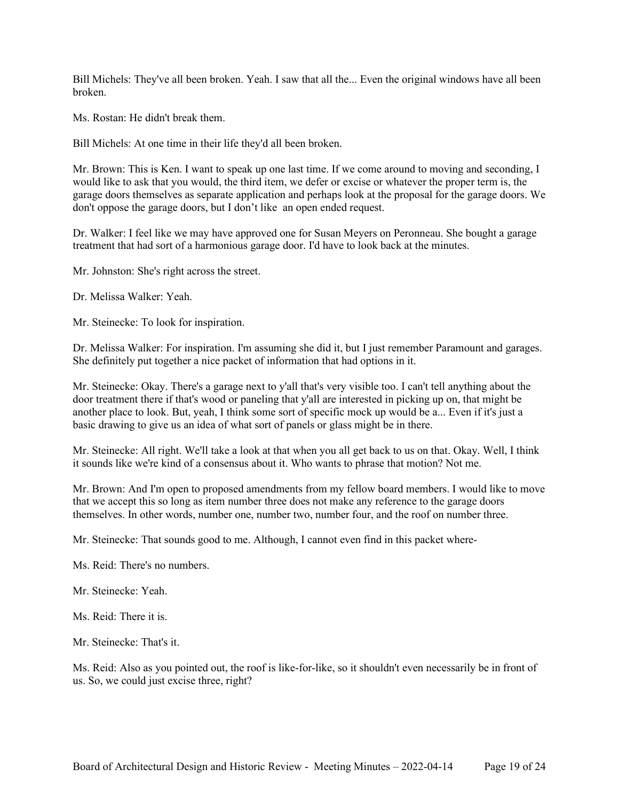Bill Michels: They've all been broken. Yeah. I saw that all the... Even the original windows have all been broken.

Ms. Rostan: He didn't break them.

Bill Michels: At one time in their life they'd all been broken.

Mr. Brown: This is Ken. I want to speak up one last time. If we come around to moving and seconding, I would like to ask that you would, the third item, we defer or excise or whatever the proper term is, the garage doors themselves as separate application and perhaps look at the proposal for the garage doors. We don't oppose the garage doors, but I don't like an open ended request.

Dr. Walker: I feel like we may have approved one for Susan Meyers on Peronneau. She bought a garage treatment that had sort of a harmonious garage door. I'd have to look back at the minutes.

Mr. Johnston: She's right across the street.

Dr. Melissa Walker: Yeah.

Mr. Steinecke: To look for inspiration.

Dr. Melissa Walker: For inspiration. I'm assuming she did it, but I just remember Paramount and garages. She definitely put together a nice packet of information that had options in it.

Mr. Steinecke: Okay. There's a garage next to y'all that's very visible too. I can't tell anything about the door treatment there if that's wood or paneling that y'all are interested in picking up on, that might be another place to look. But, yeah, I think some sort of specific mock up would be a... Even if it's just a basic drawing to give us an idea of what sort of panels or glass might be in there.

Mr. Steinecke: All right. We'll take a look at that when you all get back to us on that. Okay. Well, I think it sounds like we're kind of a consensus about it. Who wants to phrase that motion? Not me.

Mr. Brown: And I'm open to proposed amendments from my fellow board members. I would like to move that we accept this so long as item number three does not make any reference to the garage doors themselves. In other words, number one, number two, number four, and the roof on number three.

Mr. Steinecke: That sounds good to me. Although, I cannot even find in this packet where-

Ms. Reid: There's no numbers.

Mr. Steinecke: Yeah.

Ms. Reid: There it is.

Mr. Steinecke: That's it.

Ms. Reid: Also as you pointed out, the roof is like-for-like, so it shouldn't even necessarily be in front of us. So, we could just excise three, right?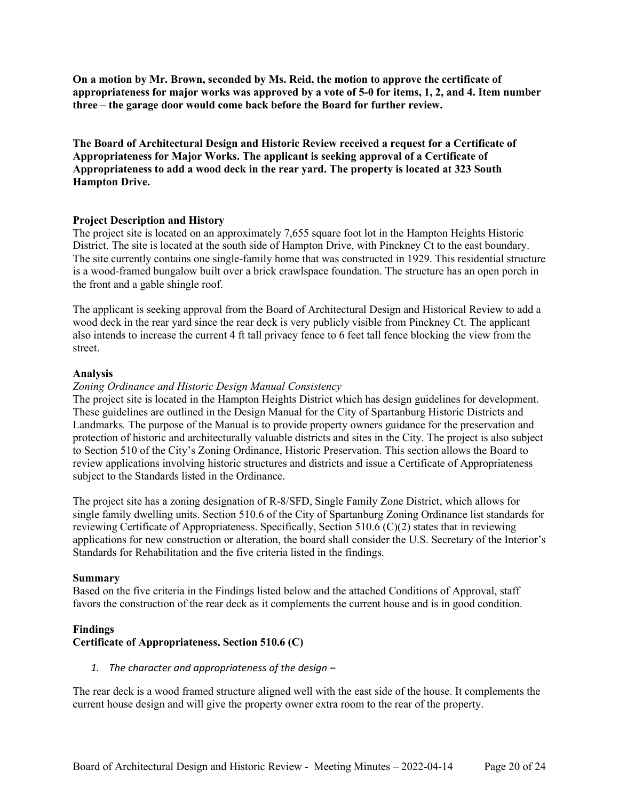**On a motion by Mr. Brown, seconded by Ms. Reid, the motion to approve the certificate of appropriateness for major works was approved by a vote of 5-0 for items, 1, 2, and 4. Item number three – the garage door would come back before the Board for further review.**

**The Board of Architectural Design and Historic Review received a request for a Certificate of Appropriateness for Major Works. The applicant is seeking approval of a Certificate of Appropriateness to add a wood deck in the rear yard. The property is located at 323 South Hampton Drive.**

#### **Project Description and History**

The project site is located on an approximately 7,655 square foot lot in the Hampton Heights Historic District. The site is located at the south side of Hampton Drive, with Pinckney Ct to the east boundary. The site currently contains one single-family home that was constructed in 1929. This residential structure is a wood-framed bungalow built over a brick crawlspace foundation. The structure has an open porch in the front and a gable shingle roof.

The applicant is seeking approval from the Board of Architectural Design and Historical Review to add a wood deck in the rear yard since the rear deck is very publicly visible from Pinckney Ct. The applicant also intends to increase the current 4 ft tall privacy fence to 6 feet tall fence blocking the view from the street.

#### **Analysis**

#### *Zoning Ordinance and Historic Design Manual Consistency*

The project site is located in the Hampton Heights District which has design guidelines for development. These guidelines are outlined in the Design Manual for the City of Spartanburg Historic Districts and Landmarks*.* The purpose of the Manual is to provide property owners guidance for the preservation and protection of historic and architecturally valuable districts and sites in the City. The project is also subject to Section 510 of the City's Zoning Ordinance, Historic Preservation. This section allows the Board to review applications involving historic structures and districts and issue a Certificate of Appropriateness subject to the Standards listed in the Ordinance.

The project site has a zoning designation of R-8/SFD, Single Family Zone District, which allows for single family dwelling units. Section 510.6 of the City of Spartanburg Zoning Ordinance list standards for reviewing Certificate of Appropriateness. Specifically, Section 510.6 (C)(2) states that in reviewing applications for new construction or alteration, the board shall consider the U.S. Secretary of the Interior's Standards for Rehabilitation and the five criteria listed in the findings.

#### **Summary**

Based on the five criteria in the Findings listed below and the attached Conditions of Approval, staff favors the construction of the rear deck as it complements the current house and is in good condition.

#### **Findings**

### **Certificate of Appropriateness, Section 510.6 (C)**

#### *1. The character and appropriateness of the design –*

The rear deck is a wood framed structure aligned well with the east side of the house. It complements the current house design and will give the property owner extra room to the rear of the property.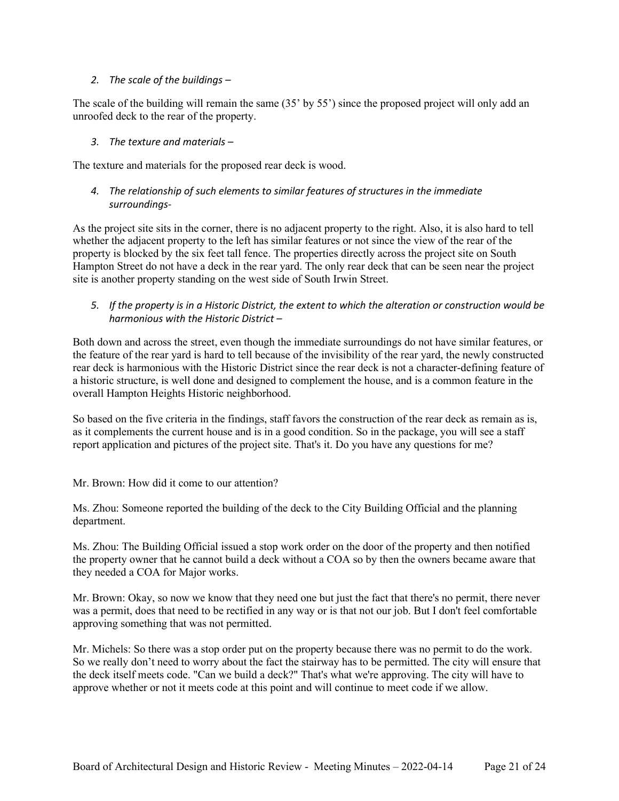### *2. The scale of the buildings –*

The scale of the building will remain the same (35' by 55') since the proposed project will only add an unroofed deck to the rear of the property.

*3. The texture and materials –*

The texture and materials for the proposed rear deck is wood.

### *4. The relationship of such elements to similar features of structures in the immediate surroundings-*

As the project site sits in the corner, there is no adjacent property to the right. Also, it is also hard to tell whether the adjacent property to the left has similar features or not since the view of the rear of the property is blocked by the six feet tall fence. The properties directly across the project site on South Hampton Street do not have a deck in the rear yard. The only rear deck that can be seen near the project site is another property standing on the west side of South Irwin Street.

*5. If the property is in a Historic District, the extent to which the alteration or construction would be harmonious with the Historic District –*

Both down and across the street, even though the immediate surroundings do not have similar features, or the feature of the rear yard is hard to tell because of the invisibility of the rear yard, the newly constructed rear deck is harmonious with the Historic District since the rear deck is not a character-defining feature of a historic structure, is well done and designed to complement the house, and is a common feature in the overall Hampton Heights Historic neighborhood.

So based on the five criteria in the findings, staff favors the construction of the rear deck as remain as is, as it complements the current house and is in a good condition. So in the package, you will see a staff report application and pictures of the project site. That's it. Do you have any questions for me?

Mr. Brown: How did it come to our attention?

Ms. Zhou: Someone reported the building of the deck to the City Building Official and the planning department.

Ms. Zhou: The Building Official issued a stop work order on the door of the property and then notified the property owner that he cannot build a deck without a COA so by then the owners became aware that they needed a COA for Major works.

Mr. Brown: Okay, so now we know that they need one but just the fact that there's no permit, there never was a permit, does that need to be rectified in any way or is that not our job. But I don't feel comfortable approving something that was not permitted.

Mr. Michels: So there was a stop order put on the property because there was no permit to do the work. So we really don't need to worry about the fact the stairway has to be permitted. The city will ensure that the deck itself meets code. "Can we build a deck?" That's what we're approving. The city will have to approve whether or not it meets code at this point and will continue to meet code if we allow.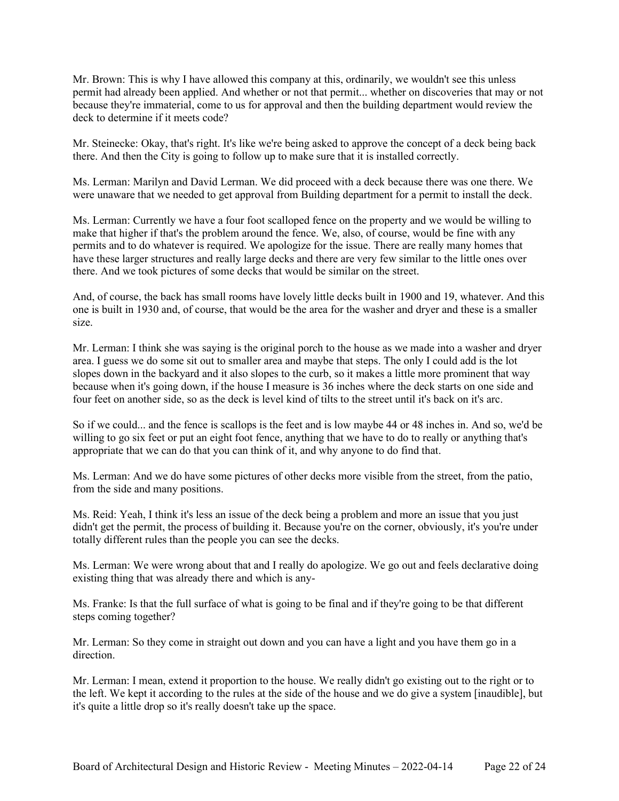Mr. Brown: This is why I have allowed this company at this, ordinarily, we wouldn't see this unless permit had already been applied. And whether or not that permit... whether on discoveries that may or not because they're immaterial, come to us for approval and then the building department would review the deck to determine if it meets code?

Mr. Steinecke: Okay, that's right. It's like we're being asked to approve the concept of a deck being back there. And then the City is going to follow up to make sure that it is installed correctly.

Ms. Lerman: Marilyn and David Lerman. We did proceed with a deck because there was one there. We were unaware that we needed to get approval from Building department for a permit to install the deck.

Ms. Lerman: Currently we have a four foot scalloped fence on the property and we would be willing to make that higher if that's the problem around the fence. We, also, of course, would be fine with any permits and to do whatever is required. We apologize for the issue. There are really many homes that have these larger structures and really large decks and there are very few similar to the little ones over there. And we took pictures of some decks that would be similar on the street.

And, of course, the back has small rooms have lovely little decks built in 1900 and 19, whatever. And this one is built in 1930 and, of course, that would be the area for the washer and dryer and these is a smaller size.

Mr. Lerman: I think she was saying is the original porch to the house as we made into a washer and dryer area. I guess we do some sit out to smaller area and maybe that steps. The only I could add is the lot slopes down in the backyard and it also slopes to the curb, so it makes a little more prominent that way because when it's going down, if the house I measure is 36 inches where the deck starts on one side and four feet on another side, so as the deck is level kind of tilts to the street until it's back on it's arc.

So if we could... and the fence is scallops is the feet and is low maybe 44 or 48 inches in. And so, we'd be willing to go six feet or put an eight foot fence, anything that we have to do to really or anything that's appropriate that we can do that you can think of it, and why anyone to do find that.

Ms. Lerman: And we do have some pictures of other decks more visible from the street, from the patio, from the side and many positions.

Ms. Reid: Yeah, I think it's less an issue of the deck being a problem and more an issue that you just didn't get the permit, the process of building it. Because you're on the corner, obviously, it's you're under totally different rules than the people you can see the decks.

Ms. Lerman: We were wrong about that and I really do apologize. We go out and feels declarative doing existing thing that was already there and which is any-

Ms. Franke: Is that the full surface of what is going to be final and if they're going to be that different steps coming together?

Mr. Lerman: So they come in straight out down and you can have a light and you have them go in a direction.

Mr. Lerman: I mean, extend it proportion to the house. We really didn't go existing out to the right or to the left. We kept it according to the rules at the side of the house and we do give a system [inaudible], but it's quite a little drop so it's really doesn't take up the space.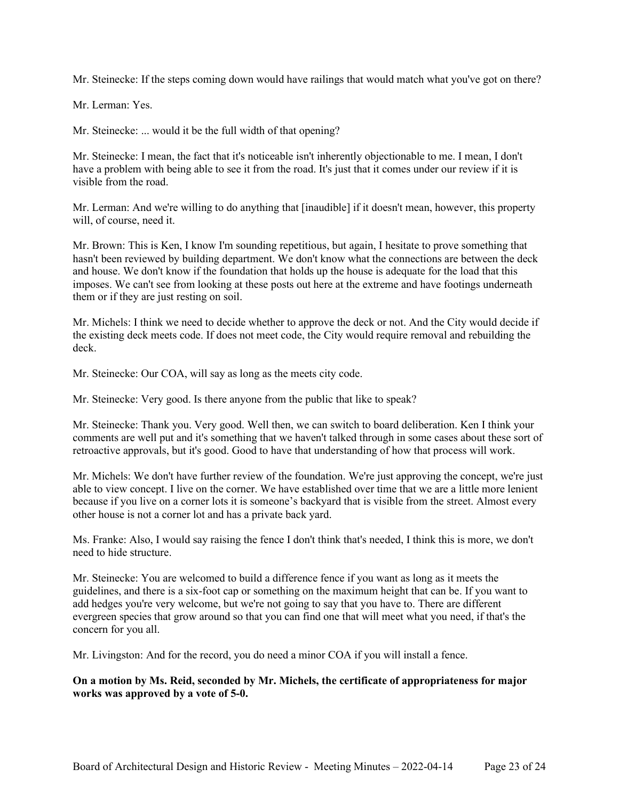Mr. Steinecke: If the steps coming down would have railings that would match what you've got on there?

Mr. Lerman: Yes.

Mr. Steinecke: ... would it be the full width of that opening?

Mr. Steinecke: I mean, the fact that it's noticeable isn't inherently objectionable to me. I mean, I don't have a problem with being able to see it from the road. It's just that it comes under our review if it is visible from the road.

Mr. Lerman: And we're willing to do anything that [inaudible] if it doesn't mean, however, this property will, of course, need it.

Mr. Brown: This is Ken, I know I'm sounding repetitious, but again, I hesitate to prove something that hasn't been reviewed by building department. We don't know what the connections are between the deck and house. We don't know if the foundation that holds up the house is adequate for the load that this imposes. We can't see from looking at these posts out here at the extreme and have footings underneath them or if they are just resting on soil.

Mr. Michels: I think we need to decide whether to approve the deck or not. And the City would decide if the existing deck meets code. If does not meet code, the City would require removal and rebuilding the deck.

Mr. Steinecke: Our COA, will say as long as the meets city code.

Mr. Steinecke: Very good. Is there anyone from the public that like to speak?

Mr. Steinecke: Thank you. Very good. Well then, we can switch to board deliberation. Ken I think your comments are well put and it's something that we haven't talked through in some cases about these sort of retroactive approvals, but it's good. Good to have that understanding of how that process will work.

Mr. Michels: We don't have further review of the foundation. We're just approving the concept, we're just able to view concept. I live on the corner. We have established over time that we are a little more lenient because if you live on a corner lots it is someone's backyard that is visible from the street. Almost every other house is not a corner lot and has a private back yard.

Ms. Franke: Also, I would say raising the fence I don't think that's needed, I think this is more, we don't need to hide structure.

Mr. Steinecke: You are welcomed to build a difference fence if you want as long as it meets the guidelines, and there is a six-foot cap or something on the maximum height that can be. If you want to add hedges you're very welcome, but we're not going to say that you have to. There are different evergreen species that grow around so that you can find one that will meet what you need, if that's the concern for you all.

Mr. Livingston: And for the record, you do need a minor COA if you will install a fence.

### **On a motion by Ms. Reid, seconded by Mr. Michels, the certificate of appropriateness for major works was approved by a vote of 5-0.**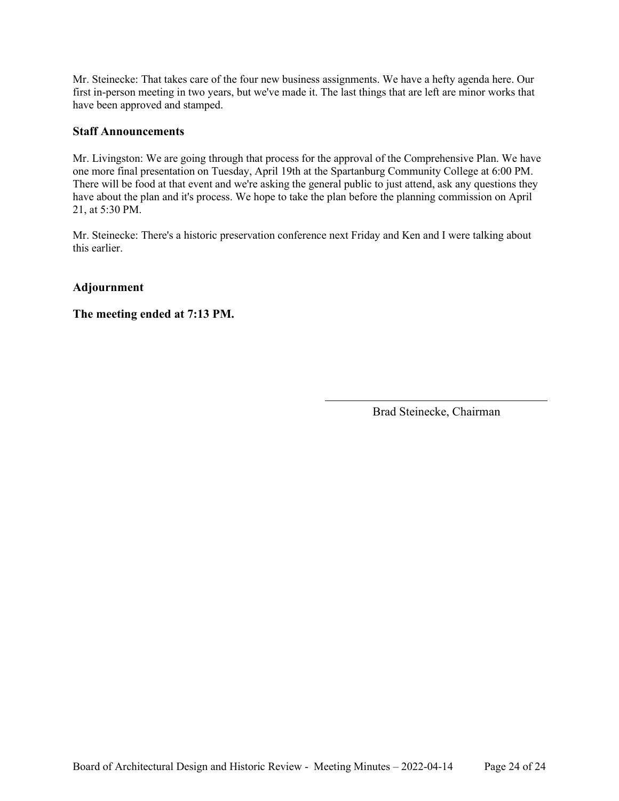Mr. Steinecke: That takes care of the four new business assignments. We have a hefty agenda here. Our first in-person meeting in two years, but we've made it. The last things that are left are minor works that have been approved and stamped.

### **Staff Announcements**

Mr. Livingston: We are going through that process for the approval of the Comprehensive Plan. We have one more final presentation on Tuesday, April 19th at the Spartanburg Community College at 6:00 PM. There will be food at that event and we're asking the general public to just attend, ask any questions they have about the plan and it's process. We hope to take the plan before the planning commission on April 21, at 5:30 PM.

Mr. Steinecke: There's a historic preservation conference next Friday and Ken and I were talking about this earlier.

# **Adjournment**

**The meeting ended at 7:13 PM.**

Brad Steinecke, Chairman